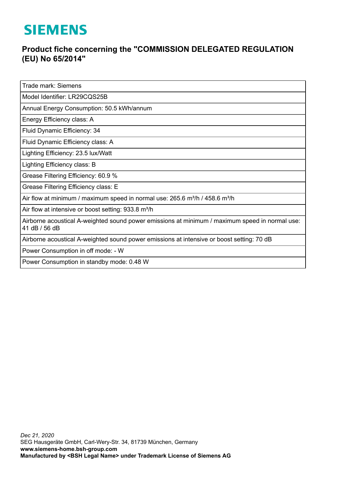## **SIEMENS**

## **Product fiche concerning the "COMMISSION DELEGATED REGULATION (EU) No 65/2014"**

Trade mark: Siemens

Model Identifier: LR29CQS25B

Annual Energy Consumption: 50.5 kWh/annum

Energy Efficiency class: A

Fluid Dynamic Efficiency: 34

Fluid Dynamic Efficiency class: A

Lighting Efficiency: 23.5 lux/Watt

Lighting Efficiency class: B

Grease Filtering Efficiency: 60.9 %

Grease Filtering Efficiency class: E

Air flow at minimum / maximum speed in normal use:  $265.6$  m<sup>3</sup>/h / 458.6 m<sup>3</sup>/h

Air flow at intensive or boost setting: 933.8 m<sup>3</sup>/h

Airborne acoustical A-weighted sound power emissions at minimum / maximum speed in normal use: 41 dB / 56 dB

Airborne acoustical A-weighted sound power emissions at intensive or boost setting: 70 dB

Power Consumption in off mode: - W

Power Consumption in standby mode: 0.48 W